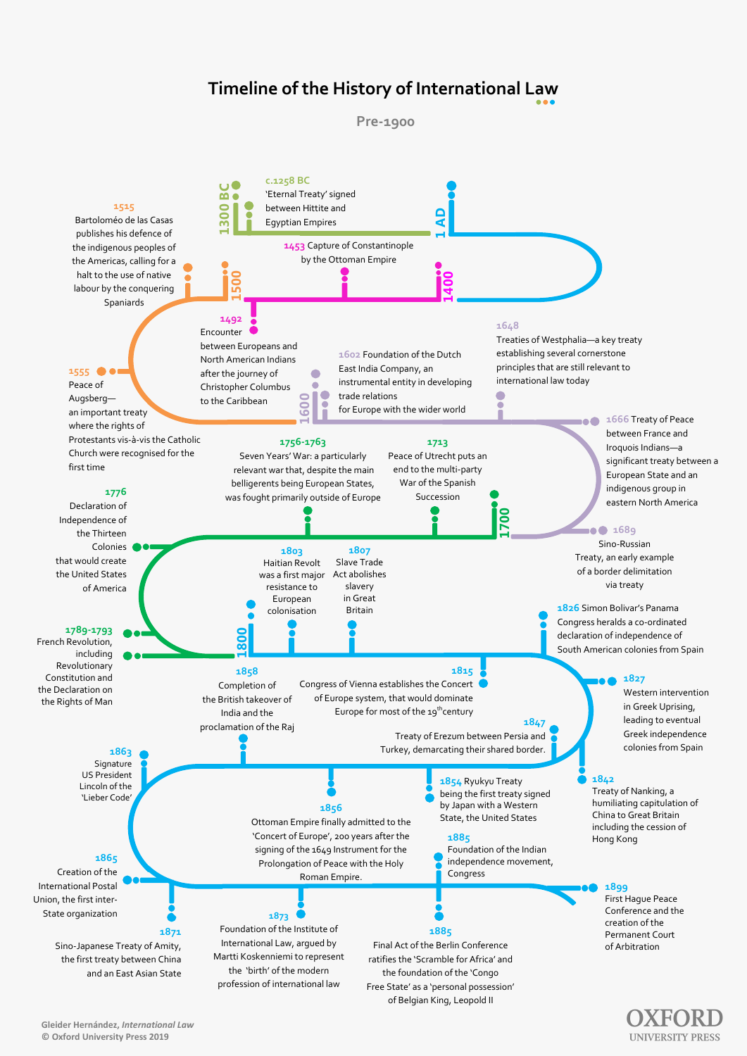

humiliating capitulation of China to Great Britain including the cession of Hong Kong

by Japan with a Western State, the United States

**1856** Ottoman Empire finally admitted to the 'Concert of Europe', 200 years after the signing of the 1649 Instrument for the Prolongation of Peace with the Holy Roman Empire.

**1865**

Creation of the International Postal Union, the first inter-State organization

## **1871**

Sino-Japanese Treaty of Amity, the first treaty between China and an East Asian State

**1873** Foundation of the Institute of International Law, argued by Martti Koskenniemi to represent the 'birth' of the modern profession of international law

## **1885**

Foundation of the Indian independence movement, Congress

**1885**  Final Act of the Berlin Conference ratifies the 'Scramble for Africa' and the foundation of the 'Congo Free State' as a 'personal possession'

of Belgian King, Leopold II

#### **1899**

First Hague Peace Conference and the creation of the Permanent Court of Arbitration

**UNIVERSITY PRESS** 

## **Timeline of the History of International Law**



### **Gleider Hernández,** *International Law* **© Oxford University Press 2019**